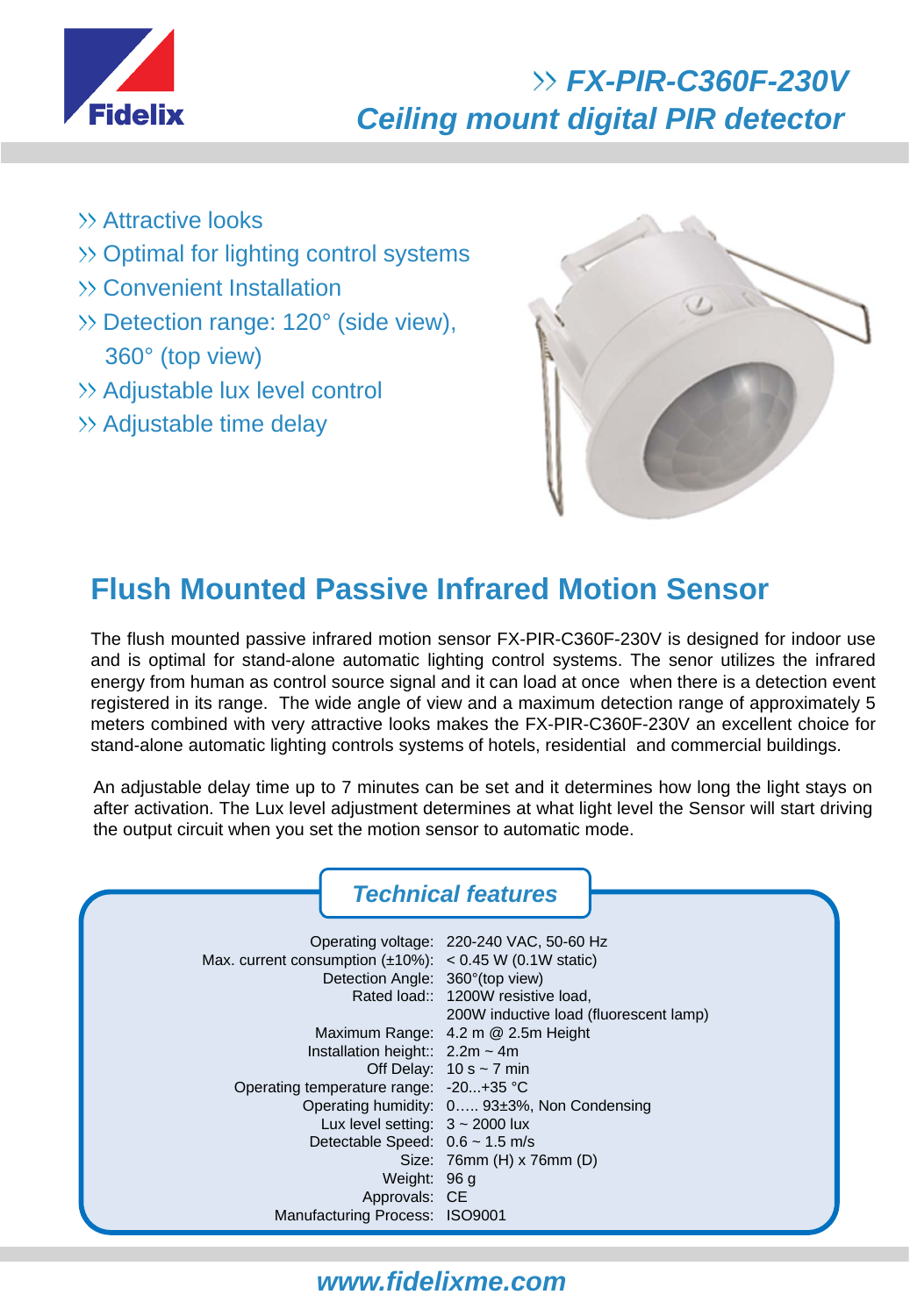

# *FX-PIR-C360F-230V Ceiling mount digital PIR detector*

- **EXAttractive looks**
- >> Optimal for lighting control systems
- Convenient Installation
- Detection range: 120° (side view), 360° (top view)
- >> Adjustable lux level control
- $\gg$  Adjustable time delay



# **Flush Mounted Passive Infrared Motion Sensor**

The flush mounted passive infrared motion sensor FX-PIR-C360F-230V is designed for indoor use and is optimal for stand-alone automatic lighting control systems. The senor utilizes the infrared energy from human as control source signal and it can load at once when there is a detection event registered in its range. The wide angle of view and a maximum detection range of approximately 5 meters combined with very attractive looks makes the FX-PIR-C360F-230V an excellent choice for stand-alone automatic lighting controls systems of hotels, residential and commercial buildings.

An adjustable delay time up to 7 minutes can be set and it determines how long the light stays on after activation. The Lux level adjustment determines at what light level the Sensor will start driving the output circuit when you set the motion sensor to automatic mode.

|                                                                                                                                                                                                                                                                 | <b>Technical features</b>                                                                                                                                                                                                                             |
|-----------------------------------------------------------------------------------------------------------------------------------------------------------------------------------------------------------------------------------------------------------------|-------------------------------------------------------------------------------------------------------------------------------------------------------------------------------------------------------------------------------------------------------|
| Max. current consumption $(\pm 10\%)$ : < 0.45 W (0.1W static)<br>Detection Angle: 360° (top view)<br>Installation height:: $2.2m \sim 4m$<br>Operating temperature range: -20+35 °C<br>Lux level setting: $3 \sim 2000$ lux<br>Detectable Speed: 0.6 ~ 1.5 m/s | Operating voltage: 220-240 VAC, 50-60 Hz<br>Rated load:: 1200W resistive load,<br>200W inductive load (fluorescent lamp)<br>Maximum Range: 4.2 m @ 2.5m Height<br>Off Delay: $10 s \sim 7 min$<br>Operating humidity: $0$ 93 $\pm$ 3%, Non Condensing |
| Weight: 96 g<br>Approvals: CE<br>Manufacturing Process: ISO9001                                                                                                                                                                                                 | Size: 76mm (H) x 76mm (D)                                                                                                                                                                                                                             |

#### *www.fidelixme.com*